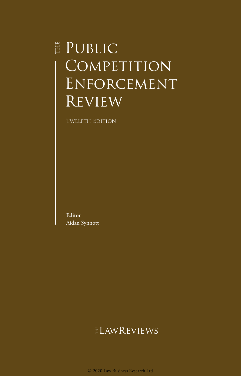# **E** PUBLIC COMPETITION Enforcement **REVIEW**

**TWELFTH EDITION** 

**Editor** Aidan Synnott

### **ELAWREVIEWS**

© 2020 Law Business Research Ltd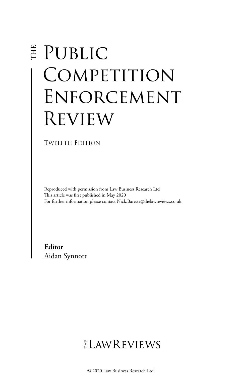# E PUBLIC COMPETITION Enforcement Review

Twelfth Edition

Reproduced with permission from Law Business Research Ltd This article was first published in May 2020 For further information please contact Nick.Barette@thelawreviews.co.uk

**Editor** Aidan Synnott

## $ELMR$  EVIEWS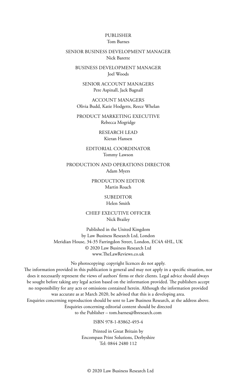#### PUBLISHER Tom Barnes

#### SENIOR BUSINESS DEVELOPMENT MANAGER Nick Barette

BUSINESS DEVELOPMENT MANAGER Joel Woods

SENIOR ACCOUNT MANAGERS Pere Aspinall, Jack Bagnall

ACCOUNT MANAGERS Olivia Budd, Katie Hodgetts, Reece Whelan

PRODUCT MARKETING EXECUTIVE Rebecca Mogridge

> RESEARCH LEAD Kieran Hansen

EDITORIAL COORDINATOR Tommy Lawson

PRODUCTION AND OPERATIONS DIRECTOR Adam Myers

> PRODUCTION EDITOR Martin Roach

> > SUBEDITOR Helen Smith

CHIEF EXECUTIVE OFFICER Nick Brailey

Published in the United Kingdom by Law Business Research Ltd, London Meridian House, 34-35 Farringdon Street, London, EC4A 4HL, UK © 2020 Law Business Research Ltd www.TheLawReviews.co.uk

No photocopying: copyright licences do not apply. The information provided in this publication is general and may not apply in a specific situation, nor does it necessarily represent the views of authors' firms or their clients. Legal advice should always be sought before taking any legal action based on the information provided. The publishers accept no responsibility for any acts or omissions contained herein. Although the information provided was accurate as at March 2020, be advised that this is a developing area. Enquiries concerning reproduction should be sent to Law Business Research, at the address above. Enquiries concerning editorial content should be directed to the Publisher – tom.barnes@lbresearch.com

ISBN 978-1-83862-493-4

Printed in Great Britain by Encompass Print Solutions, Derbyshire Tel: 0844 2480 112

© 2020 Law Business Research Ltd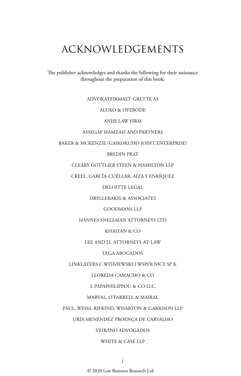### ACKNOWLEDGEMENTS

The publisher acknowledges and thanks the following for their assistance throughout the preparation of this book:

#### ADVOKATFIRMAET GRETTE AS

#### ALUKO & OYEBODE

#### ANJIE LAW FIRM

#### ASSEGAF HAMZAH AND PARTNERS

#### BAKER & MCKENZIE (GAIKOKUHO JOINT ENTERPRISE)

#### BREDIN PRAT

CLEARY GOTTLIEB STEEN & HAMILTON LLP

CREEL, GARCÍA-CUÉLLAR, AIZA Y ENRÍQUEZ

DELOITTE LEGAL

DRYLLERAKIS & ASSOCIATES

GOODMANS LLP

HANNES SNELLMAN ATTORNEYS LTD

KHAITAN & CO

LEE AND LI, ATTORNEYS-AT-LAW

LEGA ABOGADOS

LINKLATERS C WIŚNIEWSKI I WSPÓLNICY SP K

LLOREDA CAMACHO & CO

L PAPAPHILIPPOU & CO LLC

MARVAL, O'FARRELL & MAIRAL

PAUL, WEISS, RIFKIND, WHARTON & GARRISON LLP

URÍA MENÉNDEZ PROENÇA DE CARVALHO

#### VEIRANO ADVOGADOS

#### WHITE & CASE LLP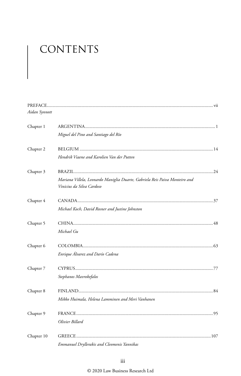# CONTENTS

| Aidan Synnott |                                                                                                          |  |
|---------------|----------------------------------------------------------------------------------------------------------|--|
| Chapter 1     |                                                                                                          |  |
|               | Miguel del Pino and Santiago del Río                                                                     |  |
| Chapter 2     |                                                                                                          |  |
|               | Hendrik Viaene and Karolien Van der Putten                                                               |  |
| Chapter 3     |                                                                                                          |  |
|               | Mariana Villela, Leonardo Maniglia Duarte, Gabriela Reis Paiva Monteiro and<br>Vinicius da Silva Cardoso |  |
| Chapter 4     |                                                                                                          |  |
|               | Michael Koch, David Rosner and Justine Johnston                                                          |  |
| Chapter 5     |                                                                                                          |  |
|               | Michael Gu                                                                                               |  |
| Chapter 6     |                                                                                                          |  |
|               | Enrique Alvarez and Darío Cadena                                                                         |  |
| Chapter 7     |                                                                                                          |  |
|               | Stephanos Mavrokefalos                                                                                   |  |
| Chapter 8     |                                                                                                          |  |
|               | Mikko Huimala, Helena Lamminen and Meri Vanhanen                                                         |  |
| Chapter 9     |                                                                                                          |  |
|               | Olivier Billard                                                                                          |  |
| Chapter 10    |                                                                                                          |  |
|               | Emmanuel Dryllerakis and Cleomenis Yannikas                                                              |  |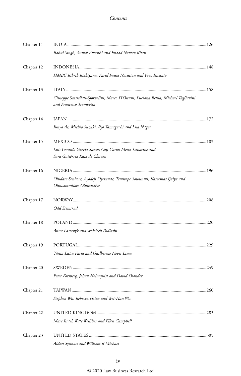| Chapter 11 |                                                                                                                |      |
|------------|----------------------------------------------------------------------------------------------------------------|------|
|            | Rahul Singh, Anmol Awasthi and Ebaad Nawaz Khan                                                                |      |
| Chapter 12 |                                                                                                                |      |
|            | HMBC Rikrik Rizkiyana, Farid Fauzi Nasution and Vovo Iswanto                                                   |      |
| Chapter 13 |                                                                                                                |      |
|            | Giuseppe Scassellati-Sforzolini, Marco D'Ostuni, Luciana Bellia, Michael Tagliavini<br>and Francesco Trombetta |      |
| Chapter 14 |                                                                                                                |      |
|            | Junya Ae, Michio Suzuki, Ryo Yamaguchi and Lisa Nagao                                                          |      |
| Chapter 15 |                                                                                                                |      |
|            | Luis Gerardo García Santos Coy, Carlos Mena-Labarthe and<br>Sara Gutiérrez Ruiz de Chávez                      |      |
| Chapter 16 |                                                                                                                |      |
|            | Oludare Senbore, Ayodeji Oyetunde, Temitope Sowunmi, Kareemat Ijaiya and<br>Oluwatamilore Oluwalaiye           |      |
| Chapter 17 |                                                                                                                |      |
|            | Odd Stemsrud                                                                                                   |      |
| Chapter 18 |                                                                                                                |      |
|            | Anna Laszczyk and Wojciech Podlasin                                                                            |      |
| Chapter 19 |                                                                                                                |      |
|            | Tânia Luísa Faria and Guilherme Neves Lima                                                                     |      |
| Chapter 20 |                                                                                                                |      |
|            | Peter Forsberg, Johan Holmquist and David Olander                                                              |      |
| Chapter 21 |                                                                                                                |      |
|            | Stephen Wu, Rebecca Hsiao and Wei-Han Wu                                                                       |      |
| Chapter 22 |                                                                                                                | .283 |
|            | Marc Israel, Kate Kelliher and Ellen Campbell                                                                  |      |
| Chapter 23 |                                                                                                                |      |
|            | Aidan Synnott and William B Michael                                                                            |      |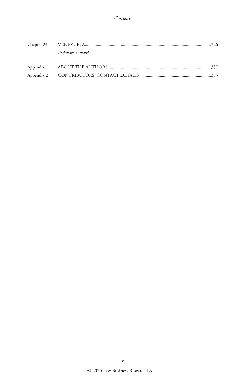|  | Alejandro Gallotti |  |
|--|--------------------|--|
|  |                    |  |
|  |                    |  |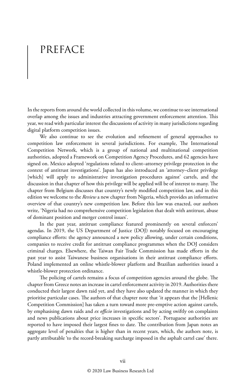## PREFACE

In the reports from around the world collected in this volume, we continue to see international overlap among the issues and industries attracting government enforcement attention. This year, we read with particular interest the discussions of activity in many jurisdictions regarding digital platform competition issues.

We also continue to see the evolution and refinement of general approaches to competition law enforcement in several jurisdictions. For example, The International Competition Network, which is a group of national and multinational competition authorities, adopted a Framework on Competition Agency Procedures, and 62 agencies have signed on. Mexico adopted 'regulations related to client–attorney privilege protection in the context of antitrust investigations'. Japan has also introduced an 'attorney–client privilege [which] will apply to administrative investigation procedures against' cartels, and the discussion in that chapter of how this privilege will be applied will be of interest to many. The chapter from Belgium discusses that country's newly modified competition law, and in this edition we welcome to the *Review* a new chapter from Nigeria, which provides an informative overview of that country's new competition law. Before this law was enacted, our authors write, 'Nigeria had no comprehensive competition legislation that dealt with antitrust, abuse of dominant position and merger control issues'.

In the past year, antitrust compliance featured prominently on several enforcers' agendas. In 2019, the US Department of Justice (DOJ) notably focused on encouraging compliance efforts: the agency announced a new policy allowing, under certain conditions, companies to receive credit for antitrust compliance programmes when the DOJ considers criminal charges. Elsewhere, the Taiwan Fair Trade Commission has made efforts in the past year to assist Taiwanese business organisations in their antitrust compliance efforts. Poland implemented an online whistle-blower platform and Brazilian authorities issued a whistle-blower protection ordinance.

The policing of cartels remains a focus of competition agencies around the globe. The chapter from Greece notes an increase in cartel enforcement activity in 2019. Authorities there conducted their largest dawn raid yet, and they have also updated the manner in which they prioritise particular cases. The authors of that chapter note that 'it appears that the [Hellenic Competition Commission] has taken a turn toward more pre-emptive action against cartels, by emphasising dawn raids and *ex officio* investigations and by acting swiftly on complaints and news publications about price increases in specific sectors'. Portuguese authorities are reported to have imposed their largest fines to date. The contribution from Japan notes an aggregate level of penalties that is higher than in recent years, which, the authors note, is partly attributable 'to the record-breaking surcharge imposed in the asphalt cartel case' there.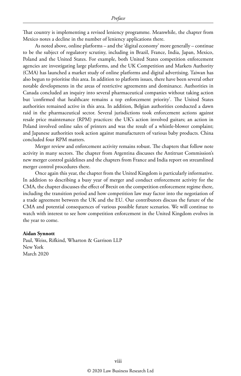That country is implementing a revised leniency programme. Meanwhile, the chapter from Mexico notes a decline in the number of leniency applications there.

As noted above, online platforms – and the 'digital economy' more generally – continue to be the subject of regulatory scrutiny, including in Brazil, France, India, Japan, Mexico, Poland and the United States. For example, both United States competition enforcement agencies are investigating large platforms, and the UK Competition and Markets Authority (CMA) has launched a market study of online platforms and digital advertising. Taiwan has also begun to prioritise this area. In addition to platform issues, there have been several other notable developments in the areas of restrictive agreements and dominance. Authorities in Canada concluded an inquiry into several pharmaceutical companies without taking action but 'confirmed that healthcare remains a top enforcement priority'. The United States authorities remained active in this area. In addition, Belgian authorities conducted a dawn raid in the pharmaceutical sector. Several jurisdictions took enforcement actions against resale price maintenance (RPM) practices: the UK's action involved guitars; an action in Poland involved online sales of printers and was the result of a whistle-blower complaint; and Japanese authorities took action against manufacturers of various baby products. China concluded four RPM matters.

Merger review and enforcement activity remains robust. The chapters that follow note activity in many sectors. The chapter from Argentina discusses the Antitrust Commission's new merger control guidelines and the chapters from France and India report on streamlined merger control procedures there.

Once again this year, the chapter from the United Kingdom is particularly informative. In addition to describing a busy year of merger and conduct enforcement activity for the CMA, the chapter discusses the effect of Brexit on the competition enforcement regime there, including the transition period and how competition law may factor into the negotiation of a trade agreement between the UK and the EU. Our contributors discuss the future of the CMA and potential consequences of various possible future scenarios. We will continue to watch with interest to see how competition enforcement in the United Kingdom evolves in the year to come.

#### **Aidan Synnott**

Paul, Weiss, Rifkind, Wharton & Garrison LLP New York March 2020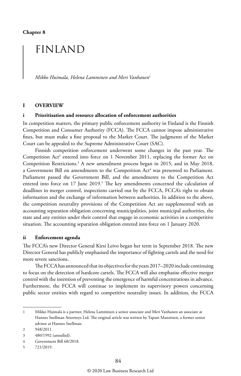### FINLAND

*Mikko Huimala, Helena Lamminen and Meri Vanhanen*<sup>1</sup>

#### **I OVERVIEW**

#### **i Prioritisation and resource allocation of enforcement authorities**

In competition matters, the primary public enforcement authority in Finland is the Finnish Competition and Consumer Authority (FCCA). The FCCA cannot impose administrative fines, but must make a fine proposal to the Market Court. The judgments of the Market Court can be appealed to the Supreme Administrative Court (SAC).

Finnish competition enforcement underwent some changes in the past year. The Competition Act<sup>2</sup> entered into force on 1 November 2011, replacing the former Act on Competition Restrictions.3 A new amendment process began in 2015, and in May 2018, a Government Bill on amendments to the Competition Act<sup>4</sup> was presented to Parliament. Parliament passed the Government Bill, and the amendments to the Competition Act entered into force on 17 June 2019.<sup>5</sup> The key amendments concerned the calculation of deadlines in merger control, inspections carried out by the FCCA, FCCA's right to obtain information and the exchange of information between authorities. In addition to the above, the competition neutrality provisions of the Competition Act are supplemented with an accounting separation obligation concerning municipalities, joint municipal authorities, the state and any entities under their control that engage in economic activities in a competitive situation. The accounting separation obligation entered into force on 1 January 2020.

#### **ii Enforcement agenda**

The FCCA's new Director General Kirsi Leivo began her term in September 2018. The new Director General has publicly emphasised the importance of fighting cartels and the need for more severe sanctions.

The FCCA has announced that its objectives for the years 2017–2020 include continuing to focus on the detection of hardcore cartels. The FCCA will also emphasise effective merger control with the intention of preventing the emergence of harmful concentrations in advance. Furthermore, the FCCA will continue to implement its supervisory powers concerning public sector entities with regard to competitive neutrality issues. In addition, the FCCA

<sup>1</sup> Mikko Huimala is a partner, Helena Lamminen a senior associate and Meri Vanhanen an associate at Hannes Snellman Attorneys Ltd. The original article was written by Tapani Manninen, a former senior advisor at Hannes Snellman.

<sup>2</sup> 948/2011.

<sup>3</sup> 480/1992 (annulled).

<sup>4</sup> Government Bill 68/2018.

<sup>5</sup> 721/2019.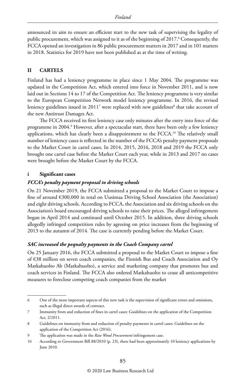announced its aim to ensure an efficient start to the new task of supervising the legality of public procurement, which was assigned to it as of the beginning of 2017.<sup>6</sup> Consequently, the FCCA opened an investigation in 86 public procurement matters in 2017 and in 101 matters in 2018. Statistics for 2019 have not been published as at the time of writing.

#### **II CARTELS**

Finland has had a leniency programme in place since 1 May 2004. The programme was updated in the Competition Act, which entered into force in November 2011, and is now laid out in Sections 14 to 17 of the Competition Act. The leniency programme is very similar to the European Competition Network model leniency programme. In 2016, the revised leniency guidelines issued in 2011<sup>7</sup> were replaced with new guidelines $^{\rm 8}$  that take account of the new Antitrust Damages Act.

The FCCA received its first leniency case only minutes after the entry into force of the programme in 2004.<sup>9</sup> However, after a spectacular start, there have been only a few leniency applications, which has clearly been a disappointment to the FCCA.10 The relatively small number of leniency cases is reflected in the number of the FCCA's penalty payment proposals to the Market Court in cartel cases. In 2014, 2015, 2016, 2018 and 2019 the FCCA only brought one cartel case before the Market Court each year, while in 2013 and 2017 no cases were brought before the Market Court by the FCCA.

#### **i Significant cases**

#### *FCCA's penalty payment proposal to driving schools*

On 21 November 2019, the FCCA submitted a proposal to the Market Court to impose a fine of around €300,000 in total on Uusimaa Driving School Association (the Association) and eight driving schools. According to FCCA, the Association and six driving schools on the Association's board encouraged driving schools to raise their prices. The alleged infringement began in April 2014 and continued until October 2015. In addition, three driving schools allegedly infringed competition rules by agreeing on price increases from the beginning of 2013 to the autumn of 2014. The case is currently pending before the Market Court.

#### *SAC increased the peqnalty payments in the Coach Company cartel*

On 25 January 2016, the FCCA submitted a proposal to the Market Court to impose a fine of €38 million on seven coach companies, the Finnish Bus and Coach Association and Oy Matkahuolto Ab (Matkahuolto), a service and marketing company that promotes bus and coach services in Finland. The FCCA also ordered Matkahuolto to cease all anticompetitive measures to foreclose competing coach companies from the market

<sup>6</sup> One of the most important aspects of this new task is the supervision of significant errors and omissions, such as illegal direct awards of contract.

<sup>7</sup> Immunity from and reduction of fines in cartel cases: Guidelines on the application of the Competition Act, 2/2011.

<sup>8</sup> Guidelines on immunity from and reduction of penalty payments in cartel cases: Guidelines on the application of the Competition Act (2016).

<sup>9</sup> The application was made in the *Raw Wood Procurement* infringement case.

<sup>10</sup> According to Government Bill 88/2010 (p. 23), there had been approximately 10 leniency applications by June 2010.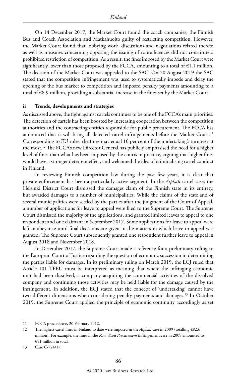On 14 December 2017, the Market Court found the coach companies, the Finnish Bus and Coach Association and Matkahuolto guilty of restricting competition. However, the Market Court found that lobbying work, discussions and negotiations related thereto as well as measures concerning opposing the issuing of route licences did not constitute a prohibited restriction of competition. As a result, the fines imposed by the Market Court were significantly lower than those proposed by the FCCA, amounting to a total of  $\epsilon$ 1.1 million. The decision of the Market Court was appealed to the SAC. On 20 August 2019 the SAC stated that the competition infringement was used to systematically impede and delay the opening of the bus market to competition and imposed penalty payments amounting to a total of €8.9 million, providing a substantial increase in the fines set by the Market Court.

#### **ii Trends, developments and strategies**

As discussed above, the fight against cartels continues to be one of the FCCA's main priorities. The detection of cartels has been boosted by increasing cooperation between the competition authorities and the contracting entities responsible for public procurement. The FCCA has announced that it will bring all detected cartel infringements before the Market Court.<sup>11</sup> Corresponding to EU rules, the fines may equal 10 per cent of the undertaking's turnover at the most.12 The FCCA's new Director General has publicly emphasised the need for a higher level of fines than what has been imposed by the courts in practice, arguing that higher fines would have a stronger deterrent effect, and welcomed the idea of criminalising cartel conduct in Finland.

In reviewing Finnish competition law during the past few years, it is clear that private enforcement has been a particularly active segment. In the *Asphalt* cartel case, the Helsinki District Court dismissed the damages claim of the Finnish state in its entirety, but awarded damages to a number of municipalities. While the claims of the state and of several municipalities were settled by the parties after the judgment of the Court of Appeal, a number of applications for leave to appeal were filed to the Supreme Court. The Supreme Court dismissed the majority of the applications, and granted limited leaves to appeal to one respondent and one claimant in September 2017. Some applications for leave to appeal were left in abeyance until final decisions are given in the matters in which leave to appeal was granted. The Supreme Court subsequently granted one respondent further leave to appeal in August 2018 and November 2018.

In December 2017, the Supreme Court made a reference for a preliminary ruling to the European Court of Justice regarding the question of economic succession in determining the parties liable for damages. In its preliminary ruling on March 2019, the ECJ ruled that Article 101 TFEU must be interpreted as meaning that where the infringing economic unit had been dissolved, a company acquiring the commercial activities of the dissolved company and continuing those activities may be held liable for the damage caused by the infringement. In addition, the ECJ stated that the concept of 'undertaking' cannot have two different dimensions when considering penalty payments and damages.<sup>13</sup> In October 2019, the Supreme Court applied the principle of economic continuity accordingly as set

<sup>11</sup> FCCA press release, 20 February 2012.

<sup>12</sup> The highest cartel fines in Finland to date were imposed in the *Asphalt* case in 2009 (totalling €82.6 million). For example, the fines in the *Raw Wood Procurement* infringement case in 2009 amounted to €51 million in total.

<sup>13</sup> Case C-724/17.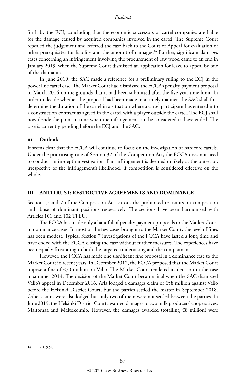forth by the ECJ, concluding that the economic successors of cartel companies are liable for the damage caused by acquired companies involved in the cartel. The Supreme Court repealed the judgement and referred the case back to the Court of Appeal for evaluation of other prerequisites for liability and the amount of damages.14 Further, significant damages cases concerning an infringement involving the procurement of raw wood came to an end in January 2019, when the Supreme Court dismissed an application for leave to appeal by one of the claimants.

In June 2019, the SAC made a reference for a preliminary ruling to the ECJ in the power line cartel case. The Market Court had dismissed the FCCA's penalty payment proposal in March 2016 on the grounds that it had been submitted after the five-year time limit. In order to decide whether the proposal had been made in a timely manner, the SAC shall first determine the duration of the cartel in a situation where a cartel participant has entered into a construction contract as agreed in the cartel with a player outside the cartel. The ECJ shall now decide the point in time when the infringement can be considered to have ended. The case is currently pending before the ECJ and the SAC.

#### **iii Outlook**

It seems clear that the FCCA will continue to focus on the investigation of hardcore cartels. Under the prioritising rule of Section 32 of the Competition Act, the FCCA does not need to conduct an in-depth investigation if an infringement is deemed unlikely at the outset or, irrespective of the infringement's likelihood, if competition is considered effective on the whole.

#### **III ANTITRUST: RESTRICTIVE AGREEMENTS AND DOMINANCE**

Sections 5 and 7 of the Competition Act set out the prohibited restraints on competition and abuse of dominant positions respectively. The sections have been harmonised with Articles 101 and 102 TFEU.

The FCCA has made only a handful of penalty payment proposals to the Market Court in dominance cases. In most of the few cases brought to the Market Court, the level of fines has been modest. Typical Section 7 investigations of the FCCA have lasted a long time and have ended with the FCCA closing the case without further measures. The experiences have been equally frustrating to both the targeted undertaking and the complainant.

However, the FCCA has made one significant fine proposal in a dominance case to the Market Court in recent years. In December 2012, the FCCA proposed that the Market Court impose a fine of €70 million on Valio. The Market Court rendered its decision in the case in summer 2014. The decision of the Market Court became final when the SAC dismissed Valio's appeal in December 2016. Arla lodged a damages claim of €58 million against Valio before the Helsinki District Court, but the parties settled the matter in September 2018. Other claims were also lodged but only two of them were not settled between the parties. In June 2019, the Helsinki District Court awarded damages to two milk producers' cooperatives, Maitomaa and Maitokolmio. However, the damages awarded (totalling  $\epsilon$ 8 million) were

<sup>14</sup> 2019:90.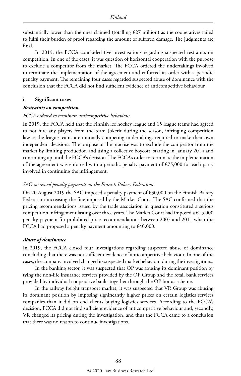substantially lower than the ones claimed (totalling  $E27$  million) as the cooperatives failed to fulfil their burden of proof regarding the amount of suffered damage. The judgments are final.

In 2019, the FCCA concluded five investigations regarding suspected restraints on competition. In one of the cases, it was question of horizontal cooperation with the purpose to exclude a competitor from the market. The FCCA ordered the undertakings involved to terminate the implementation of the agreement and enforced its order with a periodic penalty payment. The remaining four cases regarded suspected abuse of dominance with the conclusion that the FCCA did not find sufficient evidence of anticompetitive behaviour.

#### **i Significant cases**

#### *Restraints on competition*

#### *FCCA ordered to terminate anticompetitive behaviour*

In 2019, the FCCA held that the Finnish ice hockey league and 15 league teams had agreed to not hire any players from the team Jokerit during the season, infringing competition law as the league teams are mutually competing undertakings required to make their own independent decisions. The purpose of the practise was to exclude the competitor from the market by limiting production and using a collective boycott, starting in January 2014 and continuing up until the FCCA's decision. The FCCA's order to terminate the implementation of the agreement was enforced with a periodic penalty payment of  $\epsilon$ 75,000 for each party involved in continuing the infringement.

#### *SAC increased penalty payments on the Finnish Bakery Federation*

On 20 August 2019 the SAC imposed a penalty payment of €30,000 on the Finnish Bakery Federation increasing the fine imposed by the Market Court. The SAC confirmed that the pricing recommendations issued by the trade association in question constituted a serious competition infringement lasting over three years. The Market Court had imposed a €15,000 penalty payment for prohibited price recommendations between 2007 and 2011 when the FCCA had proposed a penalty payment amounting to  $\epsilon$ 40,000.

#### *Abuse of dominance*

In 2019, the FCCA closed four investigations regarding suspected abuse of dominance concluding that there was not sufficient evidence of anticompetitive behaviour. In one of the cases, the company involved changed its suspected market behaviour during the investigations.

In the banking sector, it was suspected that OP was abusing its dominant position by tying the non-life insurance services provided by the OP Group and the retail bank services provided by individual cooperative banks together through the OP bonus scheme.

In the railway freight transport market, it was suspected that VR Group was abusing its dominant position by imposing significantly higher prices on certain logistics services companies than it did on end clients buying logistics services. According to the FCCA's decision, FCCA did not find sufficient evidence of anticompetitive behaviour and, secondly, VR changed its pricing during the investigation, and thus the FCCA came to a conclusion that there was no reason to continue investigations.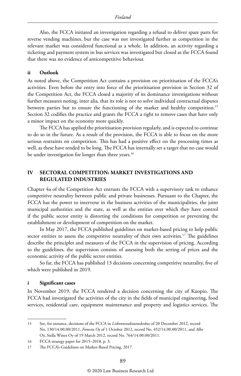Also, the FCCA initiated an investigation regarding a refusal to deliver spare parts for reverse vending machines, but the case was not investigated further as competition in the relevant market was considered functional as a whole. In addition, an activity regarding a ticketing and payment system in bus services was investigated but closed as the FCCA found that there was no evidence of anticompetitive behaviour.

#### **ii Outlook**

As noted above, the Competition Act contains a provision on prioritisation of the FCCA's activities. Even before the entry into force of the prioritisation provision in Section 32 of the Competition Act, the FCCA closed a majority of its dominance investigations without further measures noting, inter alia, that its role is not to solve individual contractual disputes between parties but to ensure the functioning of the market and healthy competition.15 Section 32 codifies the practice and grants the FCCA a right to remove cases that have only a minor impact on the economy more quickly.

The FCCA has applied the prioritisation provision regularly, and is expected to continue to do so in the future. As a result of the provision, the FCCA is able to focus on the more serious restraints on competition. This has had a positive effect on the processing times as well, as these have tended to be long. The FCCA has internally set a target that no case would be under investigation for longer than three years.<sup>16</sup>

#### **IV SECTORAL COMPETITION: MARKET INVESTIGATIONS AND REGULATED INDUSTRIES**

Chapter 4a of the Competition Act entrusts the FCCA with a supervisory task to enhance competitive neutrality between public and private businesses. Pursuant to the Chapter, the FCCA has the power to intervene in the business activities of the municipalities, the joint municipal authorities and the state, as well as the entities over which they have control if the public sector entity is distorting the conditions for competition or preventing the establishment or development of competition on the market.

In May 2017, the FCCA published guidelines on market-based pricing to help public sector entities to assess the competitive neutrality of their own activities.<sup>17</sup> The guidelines describe the principles and measures of the FCCA in the supervision of pricing. According to the guidelines, the supervision consists of assessing both the setting of prices and the economic activity of the public sector entities.

So far, the FCCA has published 13 decisions concerning competitive neutrality, five of which were published in 2019.

#### **i Significant cases**

In November 2019, the FCCA rendered a decision concerning the city of Kuopio. The FCCA had investigated the activities of the city in the fields of municipal engineering, food services, residential care, equipment maintenance and property and logistics services. The

<sup>15</sup> See, for instance, decisions of the FCCA in *Liikennevakuutuskeskus* of 20 December 2012, record No. 130/14.00.00/2011, *Fonecta Oy* of 1 October 2012, record No. 452/14.00.00/2011, and *Alko*  Oy, Stella Wines Oy of 19 March 2012, record No. 764/14.00.00/2011.

<sup>16</sup> FCCA strategy paper for 2015–2018, p. 3.

<sup>17</sup> The FCCA's Guidelines on Market-Based Pricing, 2017.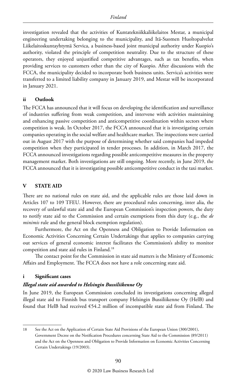investigation revealed that the activities of Kuntatekniikkaliikelaitos Mestar, a municipal engineering undertaking belonging to the municipality, and Itä-Suomen Huoltopalvelut Liikelaitoskuntayhtymä Servica, a business-based joint municipal authority under Kuopio's authority, violated the principle of competition neutrality. Due to the structure of these operators, they enjoyed unjustified competitive advantages, such as tax benefits, when providing services to customers other than the city of Kuopio. After discussions with the FCCA, the municipality decided to incorporate both business units. Servica's activities were transferred to a limited liability company in January 2019, and Mestar will be incorporated in January 2021.

#### **ii Outlook**

The FCCA has announced that it will focus on developing the identification and surveillance of industries suffering from weak competition, and intervene with activities maintaining and enhancing passive competition and anticompetitive coordination within sectors where competition is weak. In October 2017, the FCCA announced that it is investigating certain companies operating in the social welfare and healthcare market. The inspections were carried out in August 2017 with the purpose of determining whether said companies had impeded competition when they participated in tender processes. In addition, in March 2017, the FCCA announced investigations regarding possible anticompetitive measures in the property management market. Both investigations are still ongoing. More recently, in June 2019, the FCCA announced that it is investigating possible anticompetitive conduct in the taxi market.

#### **V STATE AID**

There are no national rules on state aid, and the applicable rules are those laid down in Articles 107 to 109 TFEU. However, there are procedural rules concerning, inter alia, the recovery of unlawful state aid and the European Commission's inspection powers, the duty to notify state aid to the Commission and certain exemptions from this duty (e.g., the *de minimis* rule and the general block exemption regulation).

Furthermore, the Act on the Openness and Obligation to Provide Information on Economic Activities Concerning Certain Undertakings that applies to companies carrying out services of general economic interest facilitates the Commission's ability to monitor competition and state aid rules in Finland.18

The contact point for the Commission in state aid matters is the Ministry of Economic Affairs and Employment. The FCCA does not have a role concerning state aid.

#### **i Significant cases**

#### *Illegal state aid awarded to Helsingin Bussiliikenne Oy*

In June 2019, the European Commission concluded its investigations concerning alleged illegal state aid to Finnish bus transport company Helsingin Bussiliikenne Oy (HelB) and found that HelB had received €54.2 million of incompatible state aid from Finland. The

<sup>18</sup> See the Act on the Application of Certain State Aid Provisions of the European Union (300/2001), Government Decree on the Notification Procedures concerning State Aid to the Commission (89/2011) and the Act on the Openness and Obligation to Provide Information on Economic Activities Concerning Certain Undertakings (19/2003).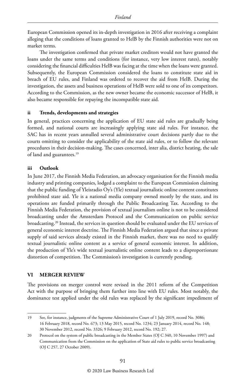European Commission opened its in-depth investigation in 2016 after receiving a complaint alleging that the conditions of loans granted to HelB by the Finnish authorities were not on market terms.

The investigation confirmed that private market creditors would not have granted the loans under the same terms and conditions (for instance, very low interest rates), notably considering the financial difficulties HelB was facing at the time when the loans were granted. Subsequently, the European Commission considered the loans to constitute state aid in breach of EU rules, and Finland was ordered to recover the aid from HelB. During the investigation, the assets and business operations of HelB were sold to one of its competitors. According to the Commission, as the new owner became the economic successor of HelB, it also became responsible for repaying the incompatible state aid.

#### **ii Trends, developments and strategies**

In general, practices concerning the application of EU state aid rules are gradually being formed, and national courts are increasingly applying state aid rules. For instance, the SAC has in recent years annulled several administrative court decisions partly due to the courts omitting to consider the applicability of the state aid rules, or to follow the relevant procedures in their decision-making. The cases concerned, inter alia, district heating, the sale of land and guarantees.<sup>19</sup>

#### **iii Outlook**

In June 2017, the Finnish Media Federation, an advocacy organisation for the Finnish media industry and printing companies, lodged a complaint to the European Commission claiming that the public funding of Yleisradio Oy's (Yle) textual journalistic online content constitutes prohibited state aid. Yle is a national media company owned mostly by the state, and its operations are funded primarily through the Public Broadcasting Tax. According to the Finnish Media Federation, the provision of textual journalism online is not to be considered broadcasting under the Amsterdam Protocol and the Communication on public service broadcasting.<sup>20</sup> Instead, the services in question should be evaluated under the EU services of general economic interest doctrine. The Finnish Media Federation argued that since a private supply of said services already existed in the Finnish market, there was no need to qualify textual journalistic online content as a service of general economic interest. In addition, the production of Yle's wide textual journalistic online content leads to a disproportionate distortion of competition. The Commission's investigation is currently pending.

#### **VI MERGER REVIEW**

The provisions on merger control were revised in the 2011 reform of the Competition Act with the purpose of bringing them further into line with EU rules. Most notably, the dominance test applied under the old rules was replaced by the significant impediment of

<sup>19</sup> See, for instance, judgments of the Supreme Administrative Court of 1 July 2019, record No. 3086; 16 February 2018, record No. 673; 13 May 2015, record No. 1234; 23 January 2014, record No. 148; 30 November 2012, record No. 3326; 9 February 2012, record No. 192; 27.

<sup>20</sup> Protocol on the system of public broadcasting in the Member States (OJ C 340, 10 November 1997) and Communication from the Commission on the application of State aid rules to public service broadcasting (OJ C 257, 27 October 2009).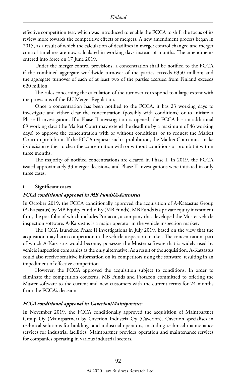effective competition test, which was introduced to enable the FCCA to shift the focus of its review more towards the competitive effects of mergers. A new amendment process began in 2015, as a result of which the calculation of deadlines in merger control changed and merger control timelines are now calculated in working days instead of months. The amendments entered into force on 17 June 2019.

Under the merger control provisions, a concentration shall be notified to the FCCA if the combined aggregate worldwide turnover of the parties exceeds €350 million; and the aggregate turnover of each of at least two of the parties accrued from Finland exceeds €20 million.

The rules concerning the calculation of the turnover correspond to a large extent with the provisions of the EU Merger Regulation.

Once a concentration has been notified to the FCCA, it has 23 working days to investigate and either clear the concentration (possibly with conditions) or to initiate a Phase II investigation. If a Phase II investigation is opened, the FCCA has an additional 69 working days (the Market Court may extend the deadline by a maximum of 46 working days) to approve the concentration with or without conditions, or to request the Market Court to prohibit it. If the FCCA requests such a prohibition, the Market Court must make its decision either to clear the concentration with or without conditions or prohibit it within three months.

The majority of notified concentrations are cleared in Phase I. In 2019, the FCCA issued approximately 33 merger decisions, and Phase II investigations were initiated in only three cases.

#### **i Significant cases**

#### *FCCA conditional approval in MB Funds/A-Katsastus*

In October 2019, the FCCA conditionally approved the acquisition of A-Katsastus Group (A-Katsastus) by MB Equity Fund V Ky (MB Funds). MB Funds is a private equity investment firm, the portfolio of which includes Protacon, a company that developed the Muster vehicle inspection software. A-Katsastus is a major operator in the vehicle inspection market.

The FCCA launched Phase II investigations in July 2019, based on the view that the acquisition may harm competition in the vehicle inspection market. The concentration, part of which A-Katsastus would become, possesses the Muster software that is widely used by vehicle inspection companies as the only alternative. As a result of the acquisition, A-Katsastus could also receive sensitive information on its competitors using the software, resulting in an impediment of effective competition.

However, the FCCA approved the acquisition subject to conditions. In order to eliminate the competition concerns, MB Funds and Protacon committed to offering the Muster software to the current and new customers with the current terms for 24 months from the FCCA's decision.

#### *FCCA conditional approval in Caverion/Maintpartner*

In November 2019, the FCCA conditionally approved the acquisition of Maintpartner Group Oy (Maintpartner) by Caverion Industria Oy (Caverion). Caverion specialises in technical solutions for buildings and industrial operators, including technical maintenance services for industrial facilities. Maintpartner provides operation and maintenance services for companies operating in various industrial sectors.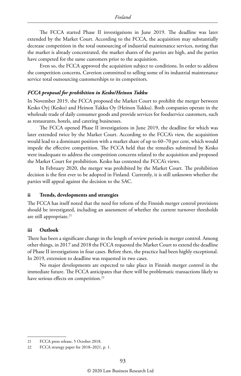The FCCA started Phase II investigations in June 2019. The deadline was later extended by the Market Court. According to the FCCA, the acquisition may substantially decrease competition in the total outsourcing of industrial maintenance services, noting that the market is already concentrated, the market shares of the parties are high, and the parties have competed for the same customers prior to the acquisition.

Even so, the FCCA approved the acquisition subject to conditions. In order to address the competition concerns, Caverion committed to selling some of its industrial maintenance service total outsourcing customerships to its competitors.

#### *FCCA proposal for prohibition in Kesko/Heinon Tukku*

In November 2019, the FCCA proposed the Market Court to prohibit the merger between Kesko Oyj (Kesko) and Heinon Tukku Oy (Heinon Tukku). Both companies operate in the wholesale trade of daily consumer goods and provide services for foodservice customers, such as restaurants, hotels, and catering businesses.

The FCCA opened Phase II investigations in June 2019, the deadline for which was later extended twice by the Market Court. According to the FCCA's view, the acquisition would lead to a dominant position with a market share of up to 60–70 per cent, which would impede the effective competition. The FCCA held that the remedies submitted by Kesko were inadequate to address the competition concerns related to the acquisition and proposed the Market Court for prohibition. Kesko has contested the FCCA's views.

In February 2020, the merger was prohibited by the Market Court. The prohibition decision is the first ever to be adopted in Finland. Currently, it is still unknown whether the parties will appeal against the decision to the SAC.

#### **ii Trends, developments and strategies**

The FCCA has itself noted that the need for reform of the Finnish merger control provisions should be investigated, including an assessment of whether the current turnover thresholds are still appropriate.<sup>21</sup>

#### **iii Outlook**

There has been a significant change in the length of review periods in merger control. Among other things, in 2017 and 2018 the FCCA requested the Market Court to extend the deadline of Phase II investigations in four cases. Before then, the practice had been highly exceptional. In 2019, extension to deadline was requested in two cases.

No major developments are expected to take place in Finnish merger control in the immediate future. The FCCA anticipates that there will be problematic transactions likely to have serious effects on competition.<sup>22</sup>

<sup>21</sup> FCCA press release, 5 October 2018.

<sup>22</sup> FCCA strategy paper for 2018–2021, p. 1.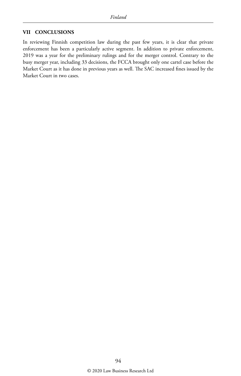#### **VII CONCLUSIONS**

In reviewing Finnish competition law during the past few years, it is clear that private enforcement has been a particularly active segment. In addition to private enforcement, 2019 was a year for the preliminary rulings and for the merger control. Contrary to the busy merger year, including 33 decisions, the FCCA brought only one cartel case before the Market Court as it has done in previous years as well. The SAC increased fines issued by the Market Court in two cases.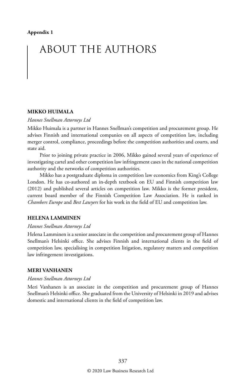## ABOUT THE AUTHORS

#### **MIKKO HUIMALA**

#### *Hannes Snellman Attorneys Ltd*

Mikko Huimala is a partner in Hannes Snellman's competition and procurement group. He advises Finnish and international companies on all aspects of competition law, including merger control, compliance, proceedings before the competition authorities and courts, and state aid.

Prior to joining private practice in 2006, Mikko gained several years of experience of investigating cartel and other competition law infringement cases in the national competition authority and the networks of competition authorities.

Mikko has a postgraduate diploma in competition law economics from King's College London. He has co-authored an in-depth textbook on EU and Finnish competition law (2012) and published several articles on competition law. Mikko is the former president, current board member of the Finnish Competition Law Association. He is ranked in *Chambers Europe* and *Best Lawyers* for his work in the field of EU and competition law.

#### **HELENA LAMMINEN**

#### *Hannes Snellman Attorneys Ltd*

Helena Lamminen is a senior associate in the competition and procurement group of Hannes Snellman's Helsinki office. She advises Finnish and international clients in the field of competition law, specialising in competition litigation, regulatory matters and competition law infringement investigations.

#### **MERI VANHANEN**

#### *Hannes Snellman Attorneys Ltd*

Meri Vanhanen is an associate in the competition and procurement group of Hannes Snellman's Helsinki office. She graduated from the University of Helsinki in 2019 and advises domestic and international clients in the field of competition law.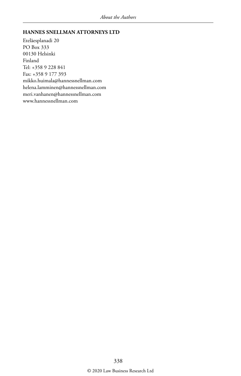#### **HANNES SNELLMAN ATTORNEYS LTD**

Eteläesplanadi 20 PO Box 333 00130 Helsinki Finland Tel: +358 9 228 841 Fax: +358 9 177 393 mikko.huimala@hannessnellman.com helena.lamminen@hannessnellman.com meri.vanhanen@hannessnellman.com www.hannessnellman.com